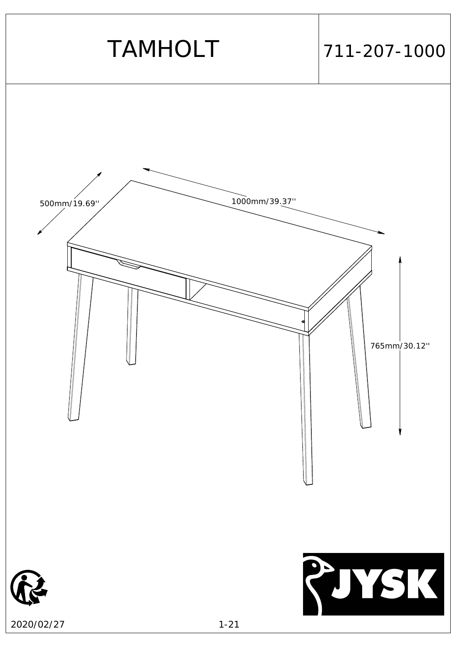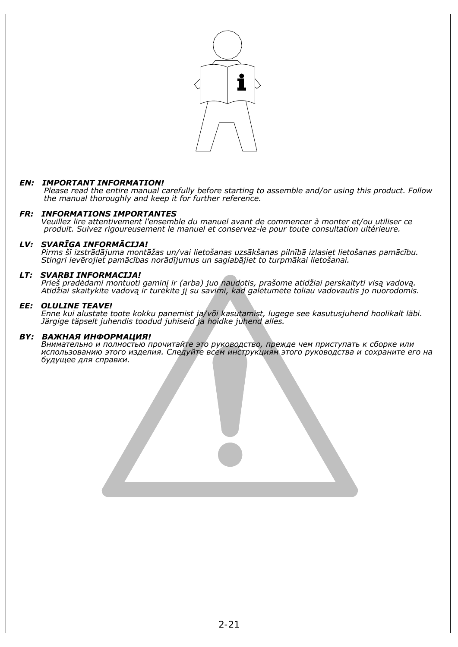

# *EN: IMPORTANT INFORMATION!*

 *Please read the entire manual carefully before starting to assemble and/or using this product. Follow the manual thoroughly and keep it for further reference.* 

## *FR: INFORMATIONS IMPORTANTES*

 *Veuillez lire attentivement l'ensemble du manuel avant de commencer à monter et/ou utiliser ce produit. Suivez rigoureusement le manuel et conservez-le pour toute consultation ultérieure.* 

## *LV: SVARĪGA INFORMĀCIJA!*

Pirms šī izstrādājuma montāžas un/vai lietošanas uzsākšanas pilnībā izlasiet lietošanas pamācību.  *Stingri ievērojiet pamācības norādījumus un saglabājiet to turpmākai lietošanai.* 

## *LT: SVARBI INFORMACIJA!*

 *Prieš pradėdami montuoti gaminį ir (arba) juo naudotis, prašome atidžiai perskaityti visą vadovą. Atidžiai skaitykite vadovą ir turėkite jį su savimi, kad galėtumėte toliau vadovautis jo nuorodomis.* 

## *EE: OLULINE TEAVE!*

 *Enne kui alustate toote kokku panemist ja/või kasutamist, lugege see kasutusjuhend hoolikalt läbi. Järgige täpselt juhendis toodud juhiseid ja hoidke juhend alles.* 

## *BY: ВАЖНАЯ ИНФОРМАЦИЯ!*

 *Внимательно и полностью прочитайте это руководство, прежде чем приступать к сборке или использованию этого изделия. Следуйте всем инструкциям этого руководства и сохраните его на будущее для справки.*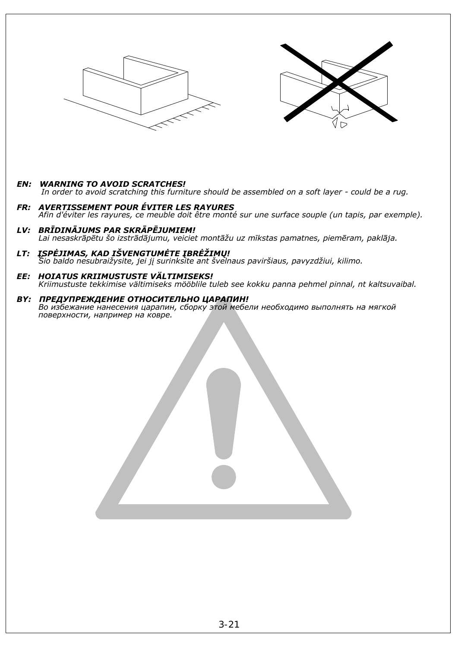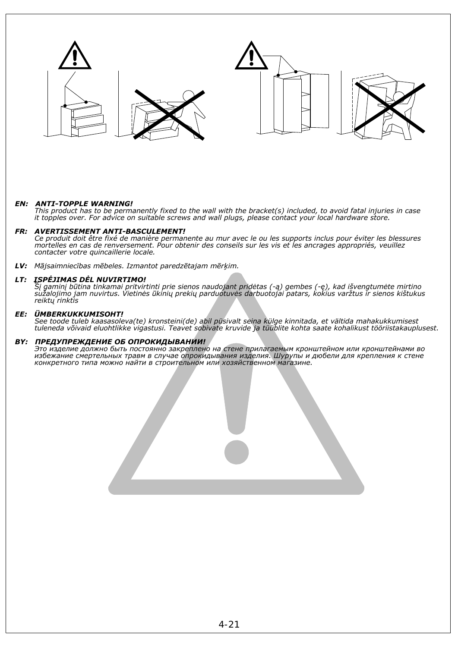

### *EN: ANTI-TOPPLE WARNING!*

 *This product has to be permanently fixed to the wall with the bracket(s) included, to avoid fatal injuries in case it topples over. For advice on suitable screws and wall plugs, please contact your local hardware store.* 

### *FR: AVERTISSEMENT ANTI-BASCULEMENT!*

 *Ce produit doit être fixé de manière permanente au mur avec le ou les supports inclus pour éviter les blessures mortelles en cas de renversement. Pour obtenir des conseils sur les vis et les ancrages appropriés, veuillez contacter votre quincaillerie locale.*

*LV: Mājsaimniecības mēbeles. Izmantot paredzētajam mērķim.* 

### *LT: ĮSPĖJIMAS DĖL NUVIRTIMO!*

 *Šį gaminį būtina tinkamai pritvirtinti prie sienos naudojant pridėtas (-ą) gembes (-ę), kad išvengtumėte mirtino sužalojimo jam nuvirtus. Vietinės ūkinių prekių parduotuvės darbuotojai patars, kokius varžtus ir sienos kištukus reiktų rinktis* 

#### *EE: ÜMBERKUKKUMISOHT!*

 *See toode tuleb kaasasoleva(te) kronsteini(de) abil püsivalt seina külge kinnitada, et vältida mahakukkumisest tuleneda võivaid eluohtlikke vigastusi. Teavet sobivate kruvide ja tüüblite kohta saate kohalikust tööriistakauplusest.*

#### *BY: ПРЕДУПРЕЖДЕНИЕ ОБ ОПРОКИДЫВАНИИ!*

 *Это изделие должно быть постоянно закреплено на стене прилагаемым кронштейном или кронштейнами во избежание смертельных травм в случае опрокидывания изделия. Шурупы и дюбели для крепления к стене конкретного типа можно найти в строительном или хозяйственном магазине.* 

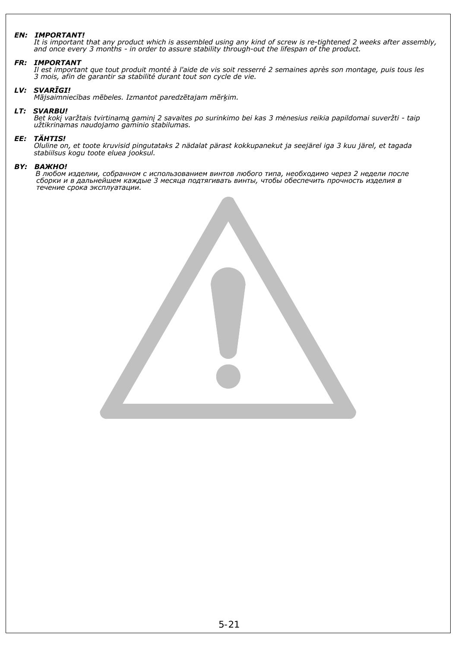### *EN: IMPORTANT!*

 *It is important that any product which is assembled using any kind of screw is re-tightened 2 weeks after assembly, and once every 3 months - in order to assure stability through-out the lifespan of the product.* 

### *FR: IMPORTANT*

 *Il est important que tout produit monté à l'aide de vis soit resserré 2 semaines après son montage, puis tous les 3 mois, afin de garantir sa stabilité durant tout son cycle de vie.* 

### *LV: SVARĪGI!*

 *Mājsaimniecības mēbeles. Izmantot paredzētajam mērķim.* 

### *LT: SVARBU!*

 *Bet kokį varžtais tvirtinamą gaminį 2 savaites po surinkimo bei kas 3 mėnesius reikia papildomai suveržti - taip užtikrinamas naudojamo gaminio stabilumas.* 

### *EE: TÄHTIS!*

 *Oluline on, et toote kruvisid pingutataks 2 nädalat pärast kokkupanekut ja seejärel iga 3 kuu järel, et tagada stabiilsus kogu toote eluea jooksul.* 

### *BY: ВАЖНО!*

 *В любом изделии, собранном с использованием винтов любого типа, необходимо через 2 недели после сборки и в дальнейшем каждые 3 месяца подтягивать винты, чтобы обеспечить прочность изделия в течение срока эксплуатации.*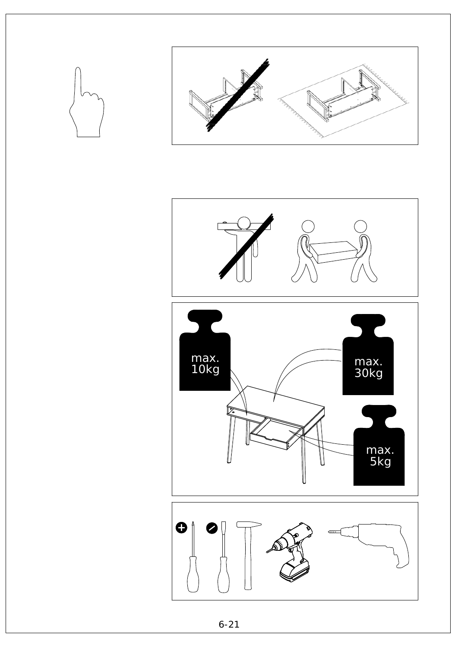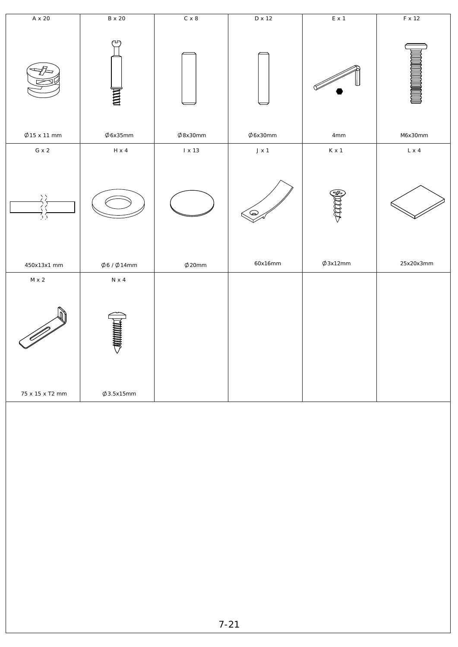| $A \times 20$        | <b>B</b> x 20         | $C \times 8$  | D x 12        | $E \times 1$   | $F \times 12$ |
|----------------------|-----------------------|---------------|---------------|----------------|---------------|
|                      | ∼<br>$\mathbf{H}$     |               |               |                |               |
| $\varphi$ 15 x 11 mm | $\phi$ 6x35mm         | $\phi$ 8x30mm | $\phi$ 6x30mm | $4\mathrm{mm}$ | M6x30mm       |
| $G \times 2$         | $H \times 4$          | $1 \times 13$ | $J \times 1$  | $K \times 1$   | $L \times 4$  |
| $\frac{2}{2}$        |                       |               | $\bigcirc$    |                |               |
| 450x13x1 mm          | $\phi$ 6/ $\phi$ 14mm | $\phi$ 20mm   | 60x16mm       | $\phi$ 3x12mm  | 25x20x3mm     |
| $M \times 2$         | $N \times 4$          |               |               |                |               |
|                      | <b>SUNNING</b>        |               |               |                |               |
| 75 x 15 x T2 mm      | $\varphi$ 3.5x15mm    |               |               |                |               |
|                      |                       |               |               |                |               |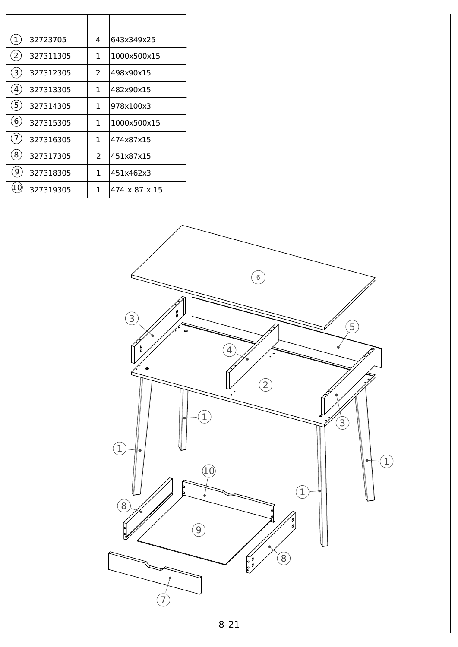| 1                | 32723705  | 4 | 643x349x25    |
|------------------|-----------|---|---------------|
| $\overline{2}$   | 327311305 | 1 | 1000x500x15   |
| $\overline{3}$   | 327312305 | 2 | 498x90x15     |
| 4                | 327313305 | 1 | 482x90x15     |
| 5                | 327314305 | 1 | 978x100x3     |
| $6 \overline{6}$ | 327315305 | 1 | 1000x500x15   |
| 7                | 327316305 | 1 | 474x87x15     |
| 8 <sup>1</sup>   | 327317305 | 2 | 451x87x15     |
| 9                | 327318305 | 1 | 451x462x3     |
| 1 C              | 327319305 | 1 | 474 x 87 x 15 |

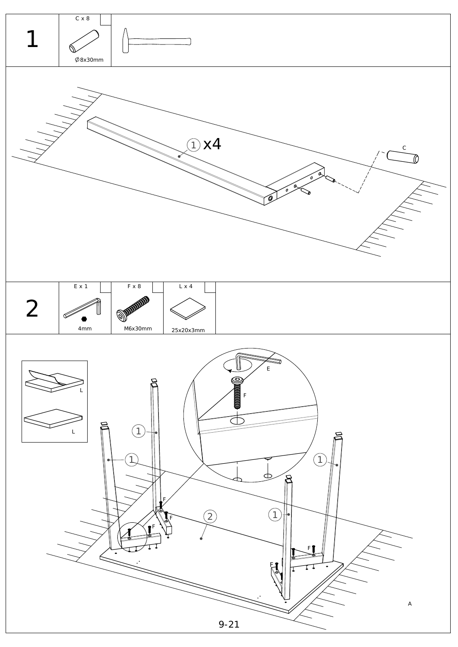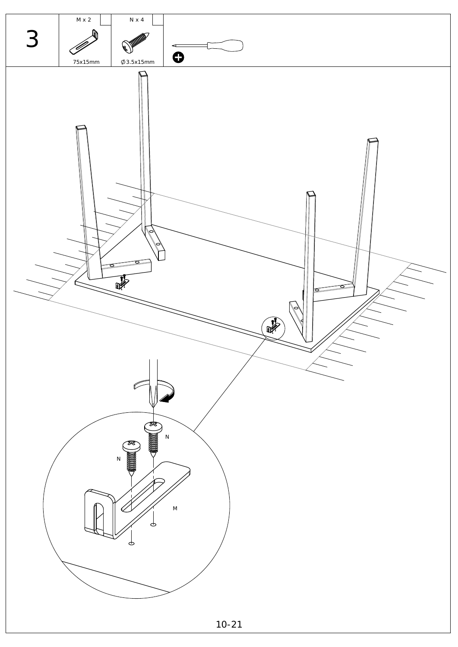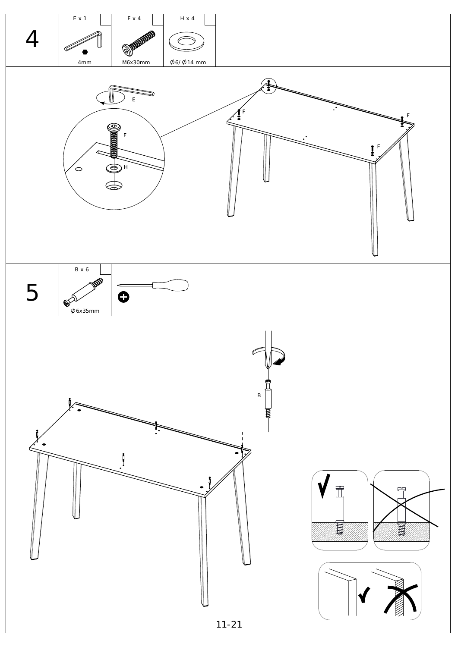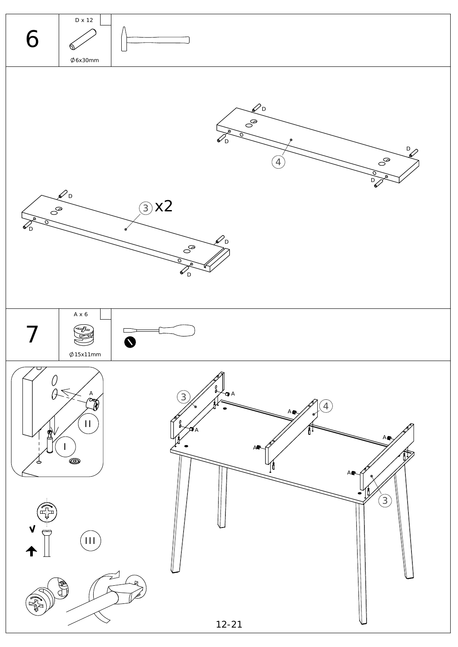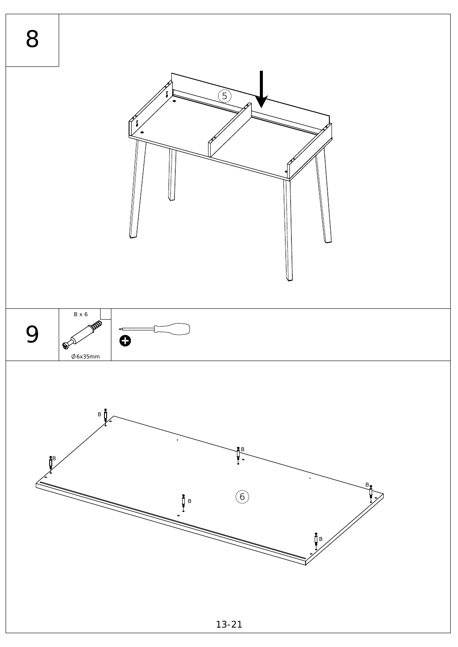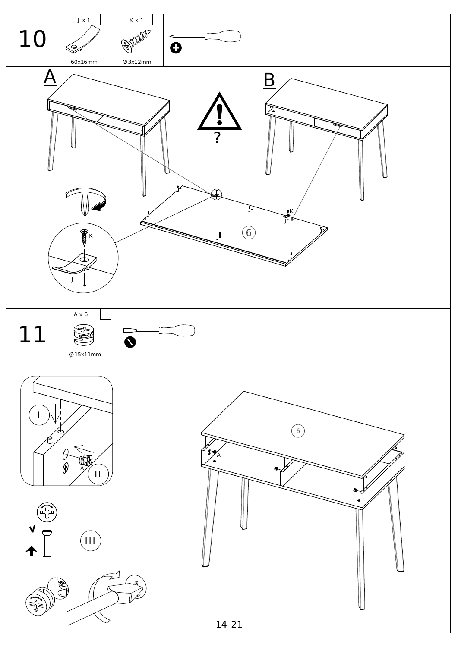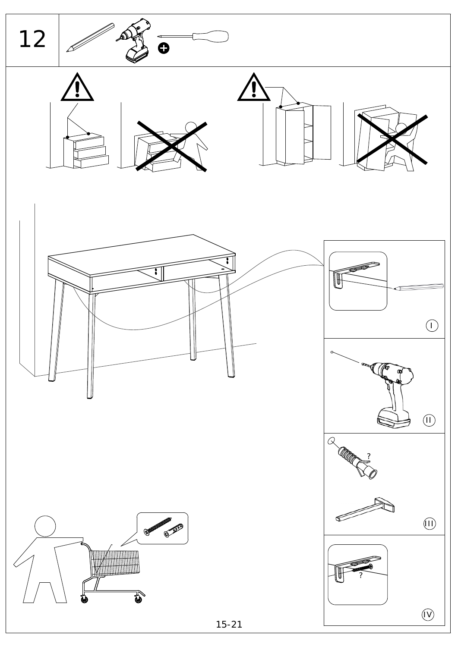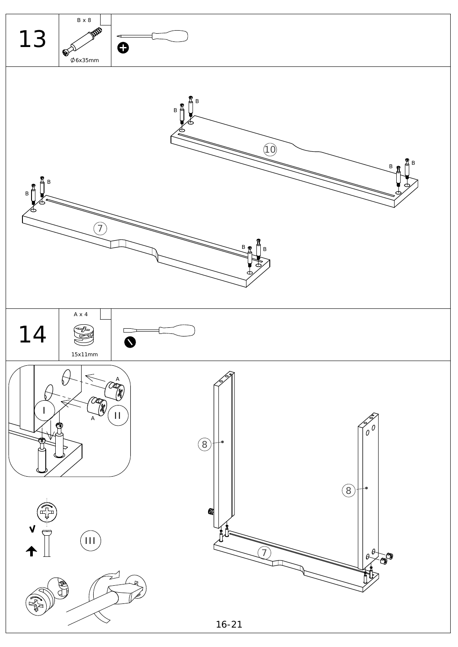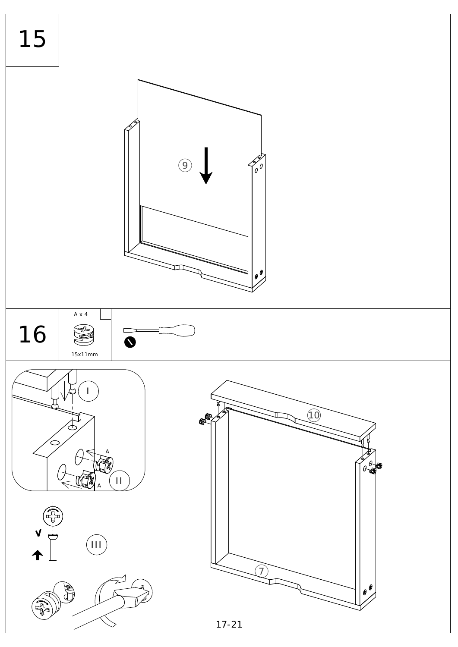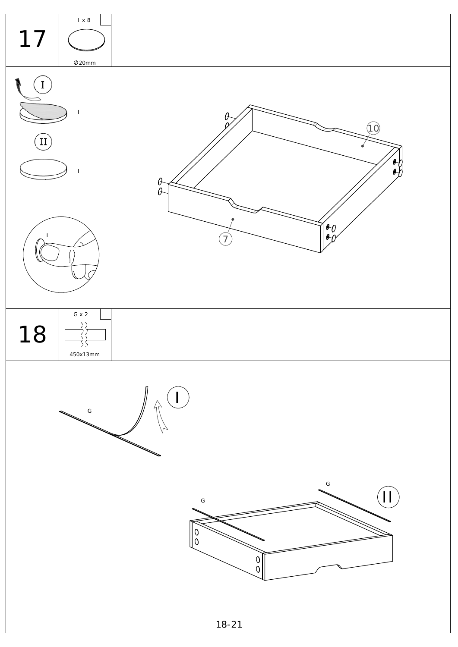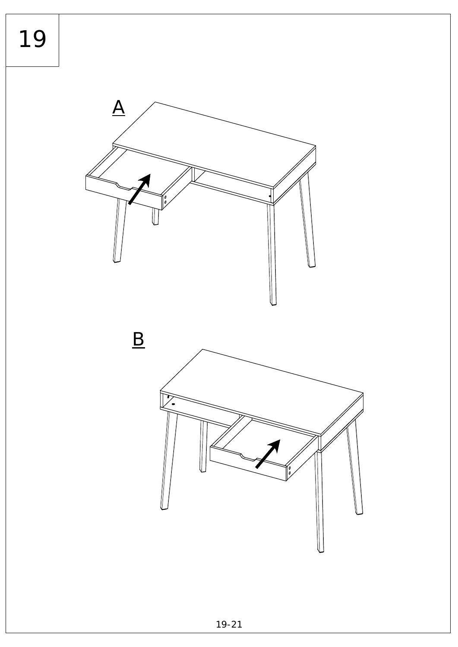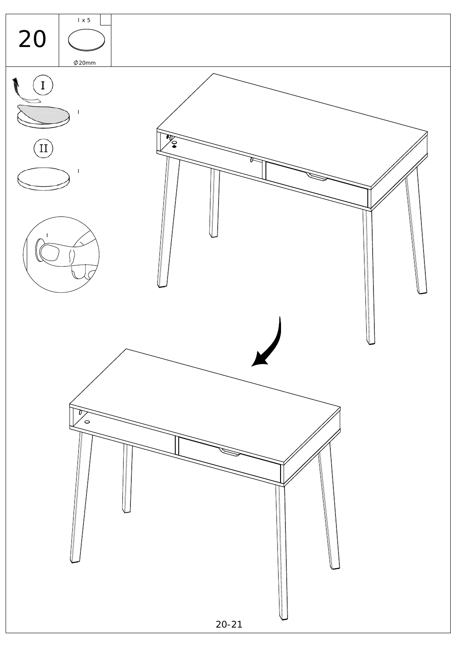